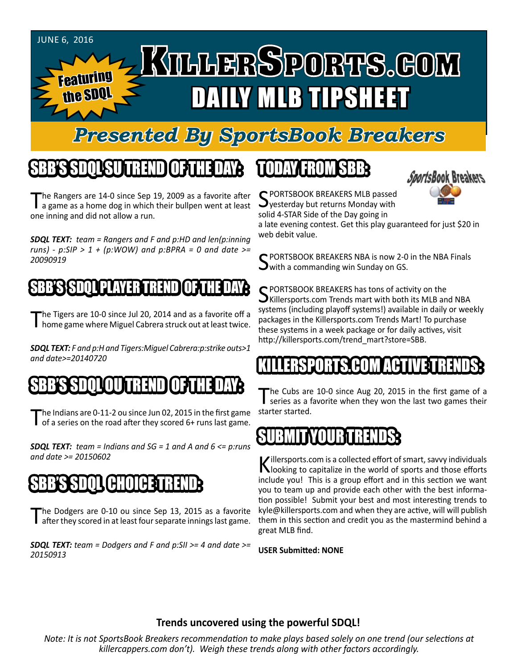

### *Presented By SportsBook Breakers*

## SBB'S SDQL SU TREND OF THE DAY:

The Rangers are 14-0 since Sep 19, 2009 as a favorite after<br>a game as a home dog in which their bullpen went at least one inning and did not allow a run.

*SDQL TEXT: team = Rangers and F and p:HD and len(p:inning runs) - p:SIP > 1 + (p:WOW) and p:BPRA = 0 and date >= 20090919*

#### **SDOL PLAYER TREND**

The Tigers are 10-0 since Jul 20, 2014 and as a favorite off a<br>
home game where Miguel Cabrera struck out at least twice.

*SDQL TEXT: F and p:H and Tigers:Miguel Cabrera:p:strike outs>1 and date>=20140720*

#### SBB'S SDQLOU TREND OF THE DAY:

The Indians are 0-11-2 ou since Jun 02, 2015 in the first game<br>of a series on the road after they scored 6+ runs last game.

*SDQL TEXT: team = Indians and SG = 1 and A and 6 <= p:runs and date >= 20150602*

#### SBB'S SDQL CHOICE TREND

The Dodgers are 0-10 ou since Sep 13, 2015 as a favorite after they scored in at least four separate innings last game.

*SDQL TEXT: team = Dodgers and F and p:SII >= 4 and date >= 20150913*

### TODAY HAOMSBB



C PORTSBOOK BREAKERS MLB passed  $\mathbf{\mathcal{Q}}$ yesterday but returns Monday with solid 4-STAR Side of the Day going in

a late evening contest. Get this play guaranteed for just \$20 in web debit value.

C PORTSBOOK BREAKERS NBA is now 2-0 in the NBA Finals  $\rightarrow$  with a commanding win Sunday on GS.

SPORTSBOOK BREAKERS has tons of activity on the<br>SKillersports.com Trends mart with both its MLB and NBA systems (including playoff systems!) available in daily or weekly packages in the Killersports.com Trends Mart! To purchase these systems in a week package or for daily actives, visit http://killersports.com/trend\_mart?store=SBB.

#### KILLERSPORTS.COM ACTIVE TRENDS:

The Cubs are 10-0 since Aug 20, 2015 in the first game of a series as a favorite when they won the last two games their starter started.

#### SUB

Killersports.com is a collected effort of smart, savvy individuals<br>Nooking to capitalize in the world of sports and those efforts include you! This is a group effort and in this section we want you to team up and provide each other with the best information possible! Submit your best and most interesting trends to kyle@killersports.com and when they are active, will will publish them in this section and credit you as the mastermind behind a great MLB find.

**USER Submitted: NONE**

#### **Trends uncovered using the powerful SDQL!**

*Note: It is not SportsBook Breakers recommendation to make plays based solely on one trend (our selections at killercappers.com don't). Weigh these trends along with other factors accordingly.*